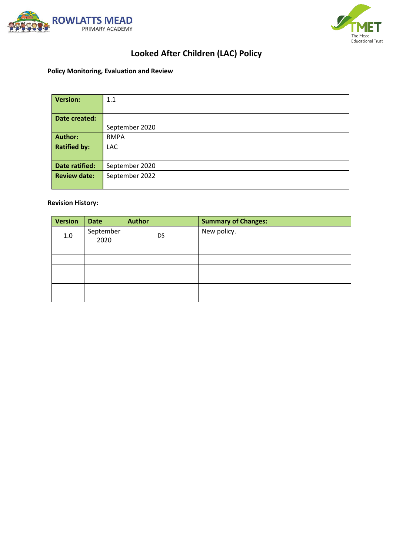



# **Looked After Children (LAC) Policy**

# **Policy Monitoring, Evaluation and Review**

| <b>Version:</b>     | 1.1            |
|---------------------|----------------|
|                     |                |
| Date created:       |                |
|                     | September 2020 |
| <b>Author:</b>      | <b>RMPA</b>    |
| <b>Ratified by:</b> | <b>LAC</b>     |
|                     |                |
| Date ratified:      | September 2020 |
| <b>Review date:</b> | September 2022 |
|                     |                |

# **Revision History:**

| <b>Version</b> | <b>Date</b>       | <b>Author</b> | <b>Summary of Changes:</b> |
|----------------|-------------------|---------------|----------------------------|
| $1.0\,$        | September<br>2020 | <b>DS</b>     | New policy.                |
|                |                   |               |                            |
|                |                   |               |                            |
|                |                   |               |                            |
|                |                   |               |                            |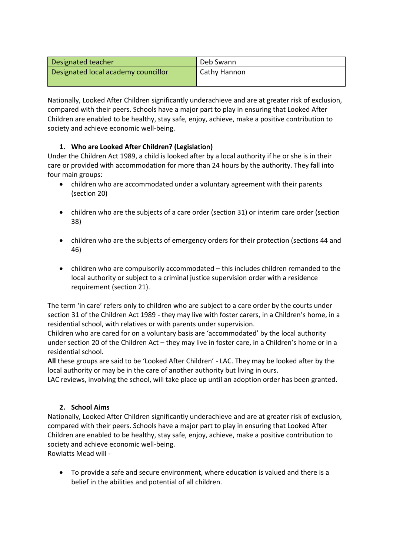| Designated teacher                  | Deb Swann    |
|-------------------------------------|--------------|
| Designated local academy councillor | Cathy Hannon |
|                                     |              |

Nationally, Looked After Children significantly underachieve and are at greater risk of exclusion, compared with their peers. Schools have a major part to play in ensuring that Looked After Children are enabled to be healthy, stay safe, enjoy, achieve, make a positive contribution to society and achieve economic well-being.

# **1. Who are Looked After Children? (Legislation)**

Under the Children Act 1989, a child is looked after by a local authority if he or she is in their care or provided with accommodation for more than 24 hours by the authority. They fall into four main groups:

- children who are accommodated under a voluntary agreement with their parents (section 20)
- children who are the subjects of a care order (section 31) or interim care order (section 38)
- children who are the subjects of emergency orders for their protection (sections 44 and 46)
- children who are compulsorily accommodated this includes children remanded to the local authority or subject to a criminal justice supervision order with a residence requirement (section 21).

The term 'in care' refers only to children who are subject to a care order by the courts under section 31 of the Children Act 1989 - they may live with foster carers, in a Children's home, in a residential school, with relatives or with parents under supervision.

Children who are cared for on a voluntary basis are 'accommodated' by the local authority under section 20 of the Children Act – they may live in foster care, in a Children's home or in a residential school.

**All** these groups are said to be 'Looked After Children' - LAC. They may be looked after by the local authority or may be in the care of another authority but living in ours.

LAC reviews, involving the school, will take place up until an adoption order has been granted.

#### **2. School Aims**

Nationally, Looked After Children significantly underachieve and are at greater risk of exclusion, compared with their peers. Schools have a major part to play in ensuring that Looked After Children are enabled to be healthy, stay safe, enjoy, achieve, make a positive contribution to society and achieve economic well-being.

Rowlatts Mead will -

 To provide a safe and secure environment, where education is valued and there is a belief in the abilities and potential of all children.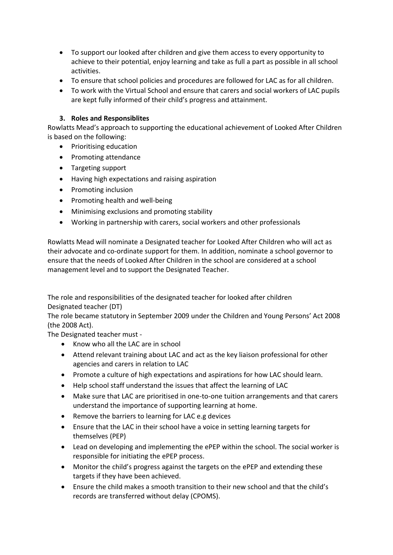- To support our looked after children and give them access to every opportunity to achieve to their potential, enjoy learning and take as full a part as possible in all school activities.
- To ensure that school policies and procedures are followed for LAC as for all children.
- To work with the Virtual School and ensure that carers and social workers of LAC pupils are kept fully informed of their child's progress and attainment.

## **3. Roles and Responsiblites**

Rowlatts Mead's approach to supporting the educational achievement of Looked After Children is based on the following:

- Prioritising education
- Promoting attendance
- Targeting support
- Having high expectations and raising aspiration
- Promoting inclusion
- Promoting health and well-being
- Minimising exclusions and promoting stability
- Working in partnership with carers, social workers and other professionals

Rowlatts Mead will nominate a Designated teacher for Looked After Children who will act as their advocate and co-ordinate support for them. In addition, nominate a school governor to ensure that the needs of Looked After Children in the school are considered at a school management level and to support the Designated Teacher.

The role and responsibilities of the designated teacher for looked after children Designated teacher (DT)

The role became statutory in September 2009 under the Children and Young Persons' Act 2008 (the 2008 Act).

The Designated teacher must -

- Know who all the LAC are in school
- Attend relevant training about LAC and act as the key liaison professional for other agencies and carers in relation to LAC
- Promote a culture of high expectations and aspirations for how LAC should learn.
- Help school staff understand the issues that affect the learning of LAC
- Make sure that LAC are prioritised in one-to-one tuition arrangements and that carers understand the importance of supporting learning at home.
- Remove the barriers to learning for LAC e.g devices
- Ensure that the LAC in their school have a voice in setting learning targets for themselves (PEP)
- Lead on developing and implementing the ePEP within the school. The social worker is responsible for initiating the ePEP process.
- Monitor the child's progress against the targets on the ePEP and extending these targets if they have been achieved.
- Ensure the child makes a smooth transition to their new school and that the child's records are transferred without delay (CPOMS).